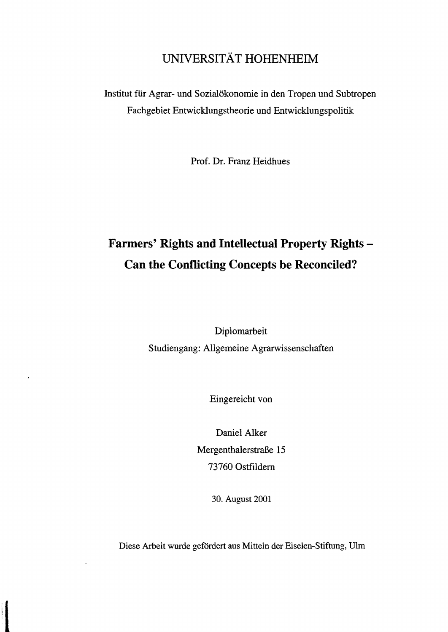## UNIVERSITÄT HOHENHEIM

Institut für Agrar- und Sozialökonomie in den Tropen und Subtropen Fachgebiet Entwicklungstheorie und Entwicklungspolitik

Prof. Dr. Franz Heidhues

## **Farmers' Rights and Intellectual Property Rights Can the Conflicting Concepts be Reconciled?**

Diplomarbeit Studiengang: Allgemeine Agrarwissenschaften

Eingereicht von

 $\cdot$ 

Daniel Alker Mergenthalerstraße 15 73760 Ostfildem

30. August 2001

Diese Arbeit wurde gefördert aus Mitteln der Eiselen-Stiftung, DIrn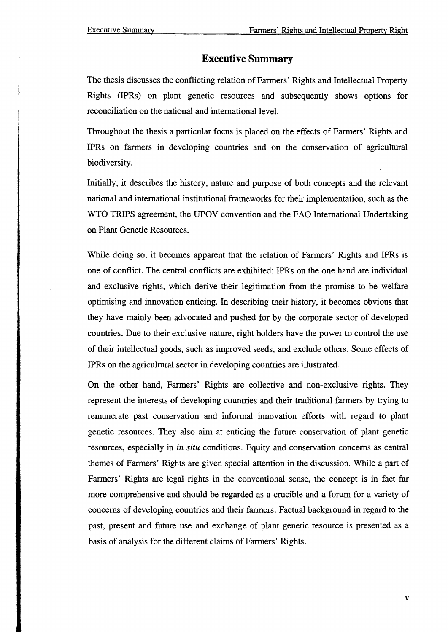## **Executive Summary**

The thesis discusses the conflicting relation of Farmers' Rights and Intellectual Property Rights (IPRs) on plant genetic resources and subsequently shows options for reconciliation on the national and international level.

Throughout the thesis a particular focus is placed on the effects of Farmers' Rights and IPRs on farmers in developing countries and on the conservation of agricultural biodiversity.

Initially, it describes the history, nature and purpose of both concepts and the relevant national and international institutional frameworks for their implementation, such as the WTO TRIPS agreement, the UPOV convention and the FAO International Undertaking on Plant Genetic Resources.

While doing so, it becomes apparent that the relation of Farmers' Rights and IPRs is one of conflict. The central conflicts are exhibited: IPRs on the one hand are individual and exclusive rights, which derive their legitimation from the promise to be welfare optimising and innovation enticing. In describing their history, it becomes obvious that they have mainly been advocated and pushed for by the corporate sector of developed countries. Due to their exclusive nature, right holders have the power to control the use of their intellectual goods, such as improved seeds, and exclude others. Some effects of IPRs on the agricultural sector in developing countries are illustrated.

On the other hand, Farmers' Rights are collective and non-exclusive rights. They represent the interests of developing countries and their traditional farmers by trying to remunerate past conservation and informal innovation efforts with regard to plant genetic resources. They also aim at enticing the future conservation of plant genetic resources, especially in *in situ* conditions. Equity and conservation concerns as central themes of Farmers' Rights are given special attention in the discussion. While a part of Farmers' Rights are legal rights in the conventional sense, the concept is in fact far more comprehensive and should be regarded as a crucible and a forum for a variety of concerns of developing countries and their farmers. Factual background in regard to the past, present and future use and exchange of plant genetic resource is presented as a basis of analysis for the different claims of Farmers' Rights.